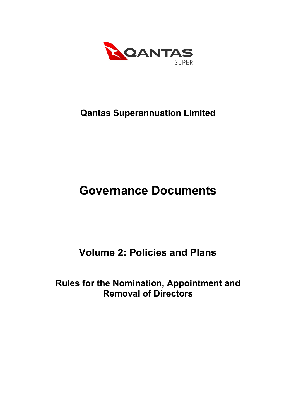

# **Qantas Superannuation Limited**

# **Governance Documents**

# **Volume 2: Policies and Plans**

# **Rules for the Nomination, Appointment and Removal of Directors**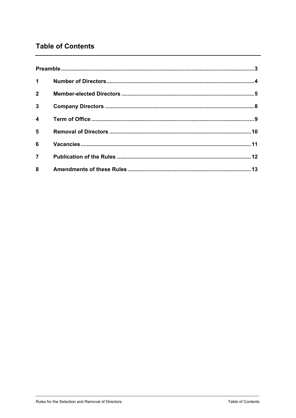# **Table of Contents**

| $\mathbf 1$             |  |
|-------------------------|--|
| $2^{\circ}$             |  |
| $\overline{3}$          |  |
| $\overline{\mathbf{4}}$ |  |
| 5                       |  |
| 6                       |  |
| $\overline{7}$          |  |
| 8                       |  |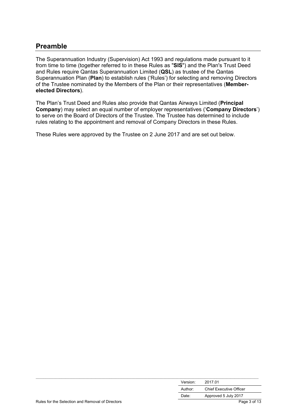### **Preamble**

The Superannuation Industry (Supervision) Act 1993 and regulations made pursuant to it from time to time (together referred to in these Rules as "**SIS**") and the Plan's Trust Deed and Rules require Qantas Superannuation Limited (**QSL**) as trustee of the Qantas Superannuation Plan (**Plan**) to establish rules ('Rules') for selecting and removing Directors of the Trustee nominated by the Members of the Plan or their representatives (**Memberelected Directors**).

The Plan's Trust Deed and Rules also provide that Qantas Airways Limited (**Principal Company**) may select an equal number of employer representatives ('**Company Directors**') to serve on the Board of Directors of the Trustee. The Trustee has determined to include rules relating to the appointment and removal of Company Directors in these Rules.

These Rules were approved by the Trustee on 2 June 2017 and are set out below.

|                                                  | Version: | 2017.01                        |
|--------------------------------------------------|----------|--------------------------------|
|                                                  | Author:  | <b>Chief Executive Officer</b> |
|                                                  | Date:    | Approved 5 July 2017           |
| Rules for the Selection and Removal of Directors |          | Page 3 of 13                   |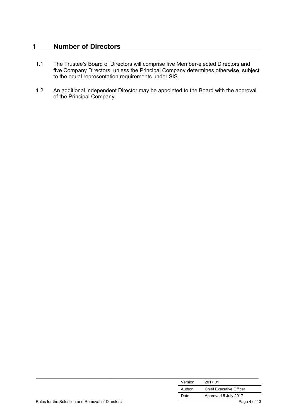## **1 Number of Directors**

- 1.1 The Trustee's Board of Directors will comprise five Member-elected Directors and five Company Directors, unless the Principal Company determines otherwise, subject to the equal representation requirements under SIS.
- 1.2 An additional independent Director may be appointed to the Board with the approval of the Principal Company.

|                                                  | Version: | 2017 01                        |
|--------------------------------------------------|----------|--------------------------------|
|                                                  | Author:  | <b>Chief Executive Officer</b> |
|                                                  | Date:    | Approved 5 July 2017           |
| Rules for the Selection and Removal of Directors |          | Page 4 of 13                   |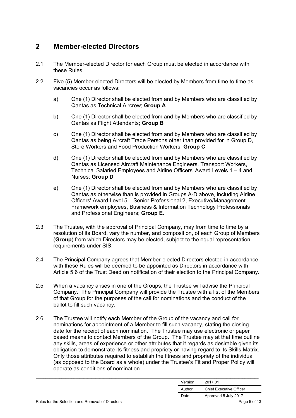#### **2 Member-elected Directors**

- 2.1 The Member-elected Director for each Group must be elected in accordance with these Rules.
- 2.2 Five (5) Member-elected Directors will be elected by Members from time to time as vacancies occur as follows:
	- a) One (1) Director shall be elected from and by Members who are classified by Qantas as Technical Aircrew; **Group A**
	- b) One (1) Director shall be elected from and by Members who are classified by Qantas as Flight Attendants; **Group B**
	- c) One (1) Director shall be elected from and by Members who are classified by Qantas as being Aircraft Trade Persons other than provided for in Group D, Store Workers and Food Production Workers; **Group C**
	- d) One (1) Director shall be elected from and by Members who are classified by Qantas as Licensed Aircraft Maintenance Engineers, Transport Workers, Technical Salaried Employees and Airline Officers' Award Levels 1 – 4 and Nurses; **Group D**
	- e) One (1) Director shall be elected from and by Members who are classified by Qantas as otherwise than is provided in Groups A-D above, including Airline Officers' Award Level 5 – Senior Professional 2, Executive/Management Framework employees, Business & Information Technology Professionals and Professional Engineers; **Group E.**
- 2.3 The Trustee, with the approval of Principal Company, may from time to time by a resolution of its Board, vary the number, and composition, of each Group of Members (**Group**) from which Directors may be elected, subject to the equal representation requirements under SIS.
- 2.4 The Principal Company agrees that Member-elected Directors elected in accordance with these Rules will be deemed to be appointed as Directors in accordance with Article 5.6 of the Trust Deed on notification of their election to the Principal Company.
- 2.5 When a vacancy arises in one of the Groups, the Trustee will advise the Principal Company. The Principal Company will provide the Trustee with a list of the Members of that Group for the purposes of the call for nominations and the conduct of the ballot to fill such vacancy.
- 2.6 The Trustee will notify each Member of the Group of the vacancy and call for nominations for appointment of a Member to fill such vacancy, stating the closing date for the receipt of each nomination. The Trustee may use electronic or paper based means to contact Members of the Group. The Trustee may at that time outline any skills, areas of experience or other attributes that it regards as desirable given its obligation to demonstrate its fitness and propriety or having regard to its Skills Matrix. Only those attributes required to establish the fitness and propriety of the individual (as opposed to the Board as a whole) under the Trustee's Fit and Proper Policy will operate as conditions of nomination.

| Dutch footh Online to a Document of Discount |          | $P_1, \ldots, P_n, A \cap B$   |
|----------------------------------------------|----------|--------------------------------|
|                                              | Date:    | Approved 5 July 2017           |
|                                              | Author:  | <b>Chief Executive Officer</b> |
|                                              | Version: | 2017.01                        |
|                                              |          |                                |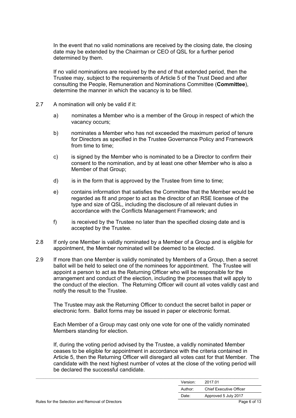In the event that no valid nominations are received by the closing date, the closing date may be extended by the Chairman or CEO of QSL for a further period determined by them.

If no valid nominations are received by the end of that extended period, then the Trustee may, subject to the requirements of Article 5 of the Trust Deed and after consulting the People, Remuneration and Nominations Committee (**Committee**), determine the manner in which the vacancy is to be filled.

- 2.7 A nomination will only be valid if it:
	- a) nominates a Member who is a member of the Group in respect of which the vacancy occurs;
	- b) nominates a Member who has not exceeded the maximum period of tenure for Directors as specified in the Trustee Governance Policy and Framework from time to time;
	- c) is signed by the Member who is nominated to be a Director to confirm their consent to the nomination, and by at least one other Member who is also a Member of that Group;
	- d) is in the form that is approved by the Trustee from time to time;
	- e) contains information that satisfies the Committee that the Member would be regarded as fit and proper to act as the director of an RSE licensee of the type and size of QSL, including the disclosure of all relevant duties in accordance with the Conflicts Management Framework; and
	- f) is received by the Trustee no later than the specified closing date and is accepted by the Trustee.
- 2.8 If only one Member is validly nominated by a Member of a Group and is eligible for appointment, the Member nominated will be deemed to be elected.
- 2.9 If more than one Member is validly nominated by Members of a Group, then a secret ballot will be held to select one of the nominees for appointment. The Trustee will appoint a person to act as the Returning Officer who will be responsible for the arrangement and conduct of the election, including the processes that will apply to the conduct of the election. The Returning Officer will count all votes validly cast and notify the result to the Trustee.

The Trustee may ask the Returning Officer to conduct the secret ballot in paper or electronic form. Ballot forms may be issued in paper or electronic format.

Each Member of a Group may cast only one vote for one of the validly nominated Members standing for election.

If, during the voting period advised by the Trustee, a validly nominated Member ceases to be eligible for appointment in accordance with the criteria contained in Article 5, then the Returning Officer will disregard all votes cast for that Member. The candidate with the next highest number of votes at the close of the voting period will be declared the successful candidate.

|          | $\mathbf{D}$ $\mathbf{A}$      |
|----------|--------------------------------|
| Date:    | Approved 5 July 2017           |
| Author:  | <b>Chief Executive Officer</b> |
| Version: | 2017.01                        |
|          |                                |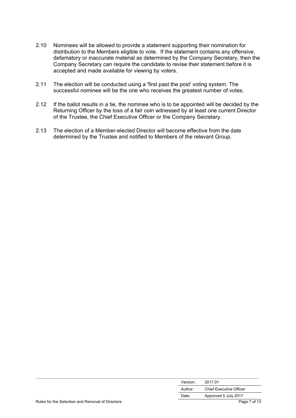- 2.10 Nominees will be allowed to provide a statement supporting their nomination for distribution to the Members eligible to vote. If the statement contains any offensive, defamatory or inaccurate material as determined by the Company Secretary, then the Company Secretary can require the candidate to revise their statement before it is accepted and made available for viewing by voters.
- 2.11 The election will be conducted using a 'first past the post' voting system. The successful nominee will be the one who receives the greatest number of votes.
- 2.12 If the ballot results in a tie, the nominee who is to be appointed will be decided by the Returning Officer by the toss of a fair coin witnessed by at least one current Director of the Trustee, the Chief Executive Officer or the Company Secretary.
- 2.13 The election of a Member-elected Director will become effective from the date determined by the Trustee and notified to Members of the relevant Group.

|                                                  | Version: | 2017.01                        |
|--------------------------------------------------|----------|--------------------------------|
|                                                  | Author:  | <b>Chief Executive Officer</b> |
|                                                  | Date:    | Approved 5 July 2017           |
| Rules for the Selection and Removal of Directors |          | Page 7 of 13                   |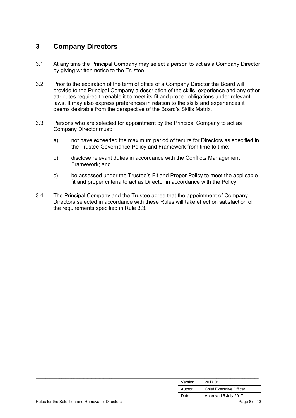#### **3 Company Directors**

- 3.1 At any time the Principal Company may select a person to act as a Company Director by giving written notice to the Trustee.
- 3.2 Prior to the expiration of the term of office of a Company Director the Board will provide to the Principal Company a description of the skills, experience and any other attributes required to enable it to meet its fit and proper obligations under relevant laws. It may also express preferences in relation to the skills and experiences it deems desirable from the perspective of the Board's Skills Matrix.
- 3.3 Persons who are selected for appointment by the Principal Company to act as Company Director must:
	- a) not have exceeded the maximum period of tenure for Directors as specified in the Trustee Governance Policy and Framework from time to time;
	- b) disclose relevant duties in accordance with the Conflicts Management Framework; and
	- c) be assessed under the Trustee's Fit and Proper Policy to meet the applicable fit and proper criteria to act as Director in accordance with the Policy.
- 3.4 The Principal Company and the Trustee agree that the appointment of Company Directors selected in accordance with these Rules will take effect on satisfaction of the requirements specified in Rule 3.3.

|                                                  | Version: | 2017.01                        |
|--------------------------------------------------|----------|--------------------------------|
|                                                  | Author:  | <b>Chief Executive Officer</b> |
|                                                  | Date:    | Approved 5 July 2017           |
| Rules for the Selection and Removal of Directors |          | Page 8 of 13                   |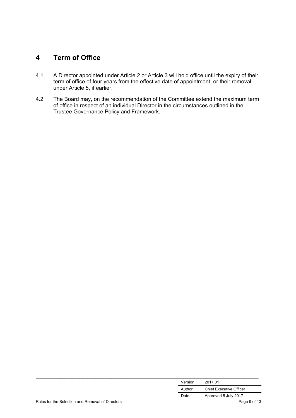#### **4 Term of Office**

- 4.1 A Director appointed under Article 2 or Article 3 will hold office until the expiry of their term of office of four years from the effective date of appointment; or their removal under Article 5, if earlier.
- 4.2 The Board may, on the recommendation of the Committee extend the maximum term of office in respect of an individual Director in the circumstances outlined in the Trustee Governance Policy and Framework.

|                                                  | Version: | 2017.01                        |
|--------------------------------------------------|----------|--------------------------------|
|                                                  | Author:  | <b>Chief Executive Officer</b> |
|                                                  | Date:    | Approved 5 July 2017           |
| Rules for the Selection and Removal of Directors |          | Page 9 of 13                   |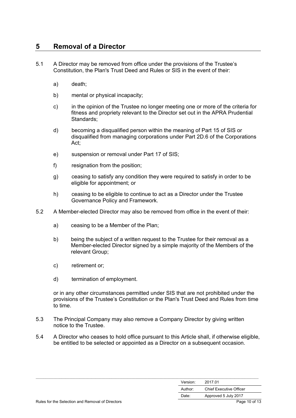#### **5 Removal of a Director**

- 5.1 A Director may be removed from office under the provisions of the Trustee's Constitution, the Plan's Trust Deed and Rules or SIS in the event of their:
	- a) death;
	- b) mental or physical incapacity;
	- c) in the opinion of the Trustee no longer meeting one or more of the criteria for fitness and propriety relevant to the Director set out in the APRA Prudential Standards;
	- d) becoming a disqualified person within the meaning of Part 15 of SIS or disqualified from managing corporations under Part 2D.6 of the Corporations Act;
	- e) suspension or removal under Part 17 of SIS;
	- f) resignation from the position;
	- g) ceasing to satisfy any condition they were required to satisfy in order to be eligible for appointment; or
	- h) ceasing to be eligible to continue to act as a Director under the Trustee Governance Policy and Framework.
- 5.2 A Member-elected Director may also be removed from office in the event of their:
	- a) ceasing to be a Member of the Plan;
	- b) being the subject of a written request to the Trustee for their removal as a Member-elected Director signed by a simple majority of the Members of the relevant Group;
	- c) retirement or;
	- d) termination of employment.

or in any other circumstances permitted under SIS that are not prohibited under the provisions of the Trustee's Constitution or the Plan's Trust Deed and Rules from time to time.

- 5.3 The Principal Company may also remove a Company Director by giving written notice to the Trustee.
- 5.4 A Director who ceases to hold office pursuant to this Article shall, if otherwise eligible, be entitled to be selected or appointed as a Director on a subsequent occasion.

| Version:<br>2017.01                       |  |
|-------------------------------------------|--|
| <b>Chief Executive Officer</b><br>Author: |  |
| Approved 5 July 2017<br>Date:             |  |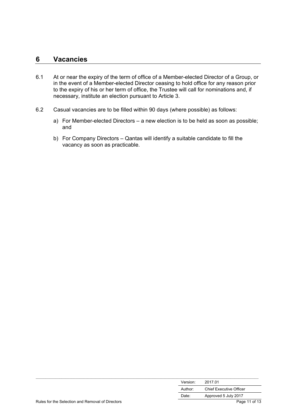#### **6 Vacancies**

- 6.1 At or near the expiry of the term of office of a Member-elected Director of a Group, or in the event of a Member-elected Director ceasing to hold office for any reason prior to the expiry of his or her term of office, the Trustee will call for nominations and, if necessary, institute an election pursuant to Article 3.
- 6.2 Casual vacancies are to be filled within 90 days (where possible) as follows:
	- a) For Member-elected Directors a new election is to be held as soon as possible; and
	- b) For Company Directors Qantas will identify a suitable candidate to fill the vacancy as soon as practicable.

|                                                  | Version: | 2017.01                        |
|--------------------------------------------------|----------|--------------------------------|
|                                                  | Author:  | <b>Chief Executive Officer</b> |
|                                                  | Date:    | Approved 5 July 2017           |
| Rules for the Selection and Removal of Directors |          | Page 11 of 13                  |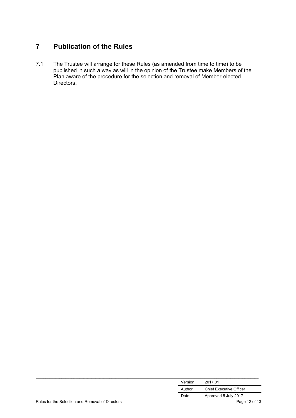## **7 Publication of the Rules**

7.1 The Trustee will arrange for these Rules (as amended from time to time) to be published in such a way as will in the opinion of the Trustee make Members of the Plan aware of the procedure for the selection and removal of Member-elected Directors.

|                                                  | Version: | 2017.01                        |
|--------------------------------------------------|----------|--------------------------------|
|                                                  | Author:  | <b>Chief Executive Officer</b> |
|                                                  | Date:    | Approved 5 July 2017           |
| Rules for the Selection and Removal of Directors |          | Page 12 of 13                  |